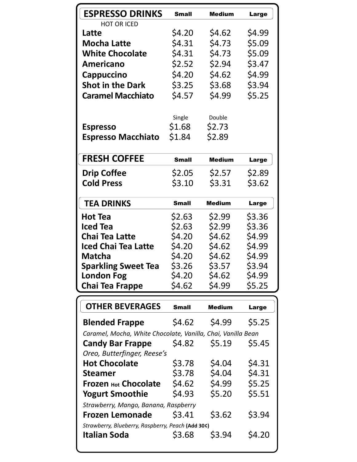| <b>ESPRESSO DRINKS</b>                                       | <b>Small</b> | <b>Medium</b> | Large        |
|--------------------------------------------------------------|--------------|---------------|--------------|
| HOT OR ICED                                                  |              |               |              |
| Latte                                                        | \$4.20       | \$4.62        | \$4.99       |
| <b>Mocha Latte</b>                                           | \$4.31       | \$4.73        | \$5.09       |
| <b>White Chocolate</b>                                       | \$4.31       | \$4.73        | \$5.09       |
| Americano                                                    | \$2.52       | \$2.94        | \$3.47       |
| Cappuccino                                                   | \$4.20       | \$4.62        | \$4.99       |
| <b>Shot in the Dark</b>                                      | \$3.25       | \$3.68        | \$3.94       |
| <b>Caramel Macchiato</b>                                     | \$4.57       | \$4.99        | \$5.25       |
|                                                              |              |               |              |
|                                                              | Single       | Double        |              |
| <b>Espresso</b>                                              | \$1.68       | \$2.73        |              |
| <b>Espresso Macchiato</b>                                    | \$1.84       | \$2.89        |              |
|                                                              |              |               |              |
| <b>FRESH COFFEE</b>                                          | <b>Small</b> | <b>Medium</b> | Large        |
| <b>Drip Coffee</b>                                           | \$2.05       | \$2.57        | \$2.89       |
| <b>Cold Press</b>                                            | \$3.10       | \$3.31        | \$3.62       |
|                                                              |              |               |              |
| <b>TEA DRINKS</b>                                            | <b>Small</b> | <b>Medium</b> | Large        |
| <b>Hot Tea</b>                                               | \$2.63       | \$2.99        | \$3.36       |
| <b>Iced Tea</b>                                              | \$2.63       | \$2.99        | \$3.36       |
| <b>Chai Tea Latte</b>                                        | \$4.20       | \$4.62        | \$4.99       |
| <b>Iced Chai Tea Latte</b>                                   | \$4.20       | \$4.62        | \$4.99       |
| <b>Matcha</b>                                                | \$4.20       | \$4.62        | \$4.99       |
| <b>Sparkling Sweet Tea</b>                                   | \$3.26       | \$3.57        | \$3.94       |
| <b>London Fog</b>                                            | \$4.20       | \$4.62        | \$4.99       |
| <b>Chai Tea Frappe</b>                                       | \$4.62       | \$4.99        | \$5.25       |
|                                                              |              |               |              |
| <b>OTHER BEVERAGES</b>                                       | <b>Small</b> | <b>Medium</b> | <b>Large</b> |
| <b>Blended Frappe</b>                                        | \$4.62       | \$4.99        | \$5.25       |
| Caramel, Mocha, White Chocolate, Vanilla, Chai, Vanilla Bean |              |               |              |
| <b>Candy Bar Frappe</b>                                      | \$4.82       | \$5.19        | \$5.45       |
| Oreo, Butterfinger, Reese's                                  |              |               |              |
| <b>Hot Chocolate</b>                                         | \$3.78       | \$4.04        | \$4.31       |
| <b>Steamer</b>                                               | \$3.78       | \$4.04        | \$4.31       |
| <b>Frozen Hot Chocolate</b>                                  | \$4.62       | \$4.99        | \$5.25       |
| <b>Yogurt Smoothie</b>                                       | \$4.93       | \$5.20        | \$5.51       |
| Strawberry, Mango, Banana, Raspberry                         |              |               |              |
| <b>Frozen Lemonade</b>                                       | \$3.41       | \$3.62        | \$3.94       |
| Strawberry, Blueberry, Raspberry, Peach (Add 30¢)            |              |               |              |
| <b>Italian Soda</b>                                          | \$3.68       | \$3.94        | \$4.20       |
|                                                              |              |               |              |